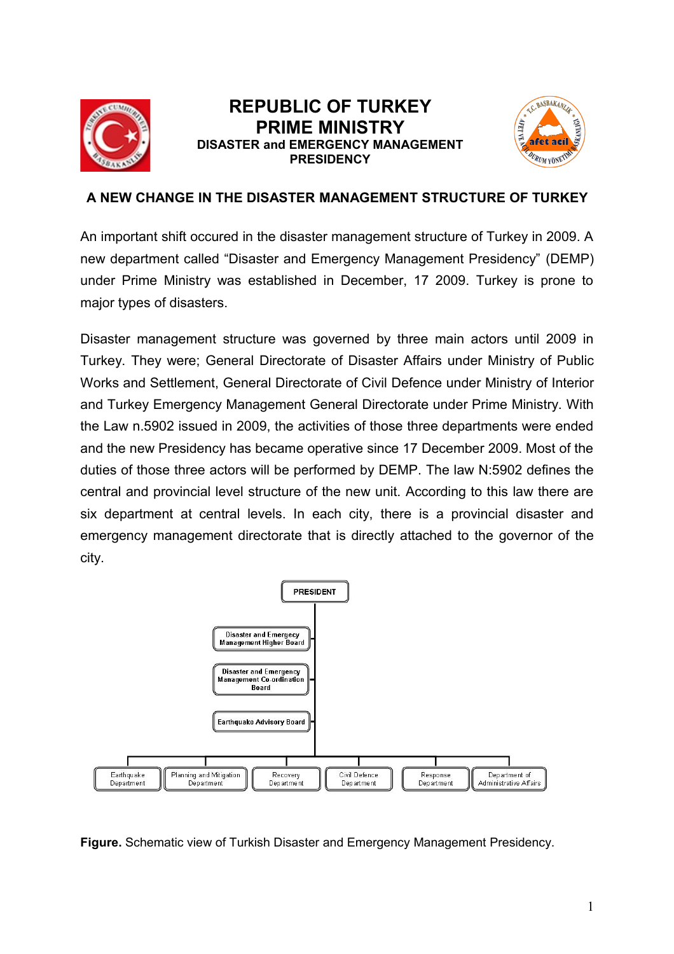

## **REPUBLIC OF TURKEY PRIME MINISTRY DISASTER and EMERGENCY MANAGEMENT PRESIDENCY**



## **A NEW CHANGE IN THE DISASTER MANAGEMENT STRUCTURE OF TURKEY**

An important shift occured in the disaster management structure of Turkey in 2009. A new department called "Disaster and Emergency Management Presidency" (DEMP) under Prime Ministry was established in December, 17 2009. Turkey is prone to major types of disasters.

Disaster management structure was governed by three main actors until 2009 in Turkey. They were; General Directorate of Disaster Affairs under Ministry of Public Works and Settlement, General Directorate of Civil Defence under Ministry of Interior and Turkey Emergency Management General Directorate under Prime Ministry. With the Law n.5902 issued in 2009, the activities of those three departments were ended and the new Presidency has became operative since 17 December 2009. Most of the duties of those three actors will be performed by DEMP. The law N:5902 defines the central and provincial level structure of the new unit. According to this law there are six department at central levels. In each city, there is a provincial disaster and emergency management directorate that is directly attached to the governor of the city.



**Figure.** Schematic view of Turkish Disaster and Emergency Management Presidency.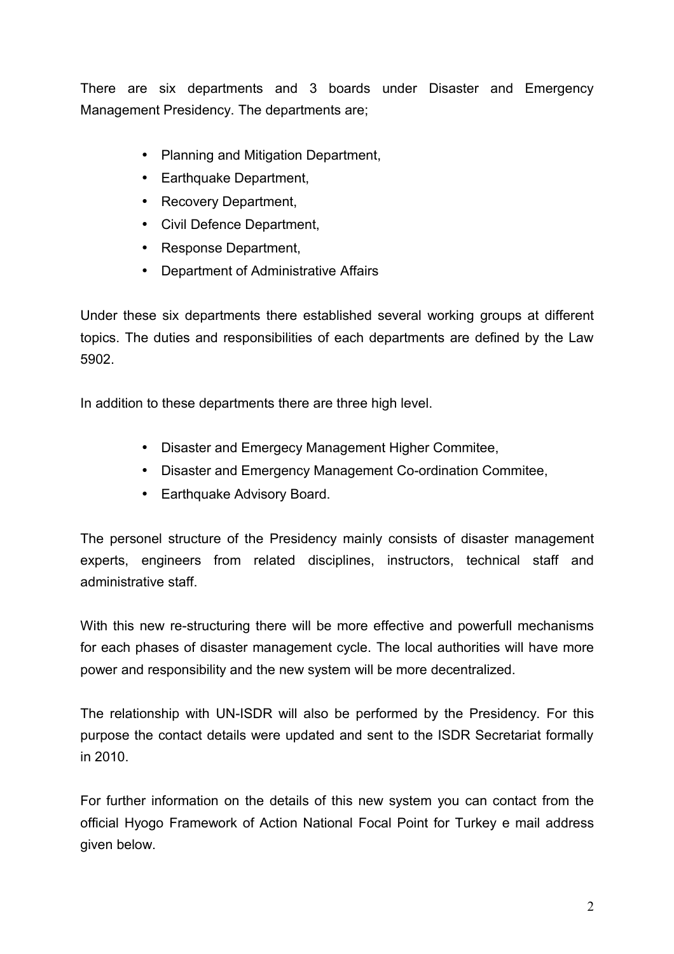There are six departments and 3 boards under Disaster and Emergency Management Presidency. The departments are;

- Planning and Mitigation Department,
- Earthquake Department,
- Recovery Department,
- Civil Defence Department,
- Response Department,
- Department of Administrative Affairs

Under these six departments there established several working groups at different topics. The duties and responsibilities of each departments are defined by the Law 5902.

In addition to these departments there are three high level.

- Disaster and Emergecy Management Higher Commitee,
- Disaster and Emergency Management Co-ordination Commitee,
- Earthquake Advisory Board.

The personel structure of the Presidency mainly consists of disaster management experts, engineers from related disciplines, instructors, technical staff and administrative staff.

With this new re-structuring there will be more effective and powerfull mechanisms for each phases of disaster management cycle. The local authorities will have more power and responsibility and the new system will be more decentralized.

The relationship with UN-ISDR will also be performed by the Presidency. For this purpose the contact details were updated and sent to the ISDR Secretariat formally in 2010.

For further information on the details of this new system you can contact from the official Hyogo Framework of Action National Focal Point for Turkey e mail address given below.